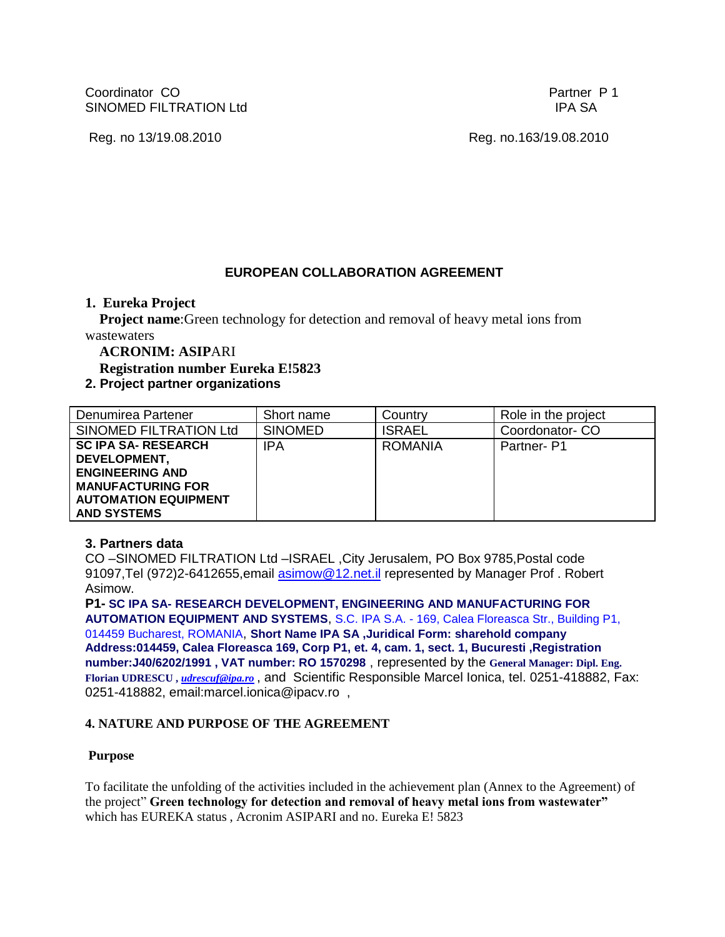Coordinator CO **Partner P 1** SINOMED FILTRATION Ltd International Studies of the SA in the SA international studies of the SA in the SA in

Reg. no 13/19.08.2010 Reg. no.163/19.08.2010

# **EUROPEAN COLLABORATION AGREEMENT**

### **1. Eureka Project**

**Project name:**Green technology for detection and removal of heavy metal ions from wastewaters

**ACRONIM: ASIP**ARI

 **Registration number Eureka E!5823**

# **2. Project partner organizations**

| Denumirea Partener                                                                                                                                    | Short name     | Country        | Role in the project |
|-------------------------------------------------------------------------------------------------------------------------------------------------------|----------------|----------------|---------------------|
| SINOMED FILTRATION Ltd                                                                                                                                | <b>SINOMED</b> | <b>ISRAEL</b>  | Coordonator-CO      |
| <b>SC IPA SA- RESEARCH</b><br>DEVELOPMENT,<br><b>ENGINEERING AND</b><br><b>MANUFACTURING FOR</b><br><b>AUTOMATION EQUIPMENT</b><br><b>AND SYSTEMS</b> | <b>IPA</b>     | <b>ROMANIA</b> | Partner-P1          |

## **3. Partners data**

CO –SINOMED FILTRATION Ltd –ISRAEL ,City Jerusalem, PO Box 9785,Postal code 91097, Tel (972) 2-6412655, email [asimow@12.net.il](mailto:asimow@12.net.il) represented by Manager Prof. Robert Asimow.

**P1- SC IPA SA- RESEARCH DEVELOPMENT, ENGINEERING AND MANUFACTURING FOR AUTOMATION EQUIPMENT AND SYSTEMS**, S.C. IPA S.A. - 169, Calea Floreasca Str., Building P1, 014459 Bucharest, ROMANIA, **Short Name IPA SA ,Juridical Form: sharehold company Address:014459, Calea Floreasca 169, Corp P1, et. 4, cam. 1, sect. 1, Bucuresti ,Registration number:J40/6202/1991 , VAT number: RO 1570298** , represented by the **General Manager: Dipl. Eng. Florian UDRESCU ,** *[udrescuf@ipa.ro](mailto:udrescuf@ipa.ro)* , and Scientific Responsible Marcel Ionica, tel. 0251-418882, Fax: 0251-418882, email:marcel.ionica@ipacv.ro ,

## **4. NATURE AND PURPOSE OF THE AGREEMENT**

#### **Purpose**

To facilitate the unfolding of the activities included in the achievement plan (Annex to the Agreement) of the project" **Green technology for detection and removal of heavy metal ions from wastewater"** which has EUREKA status , Acronim ASIPARI and no. Eureka E! 5823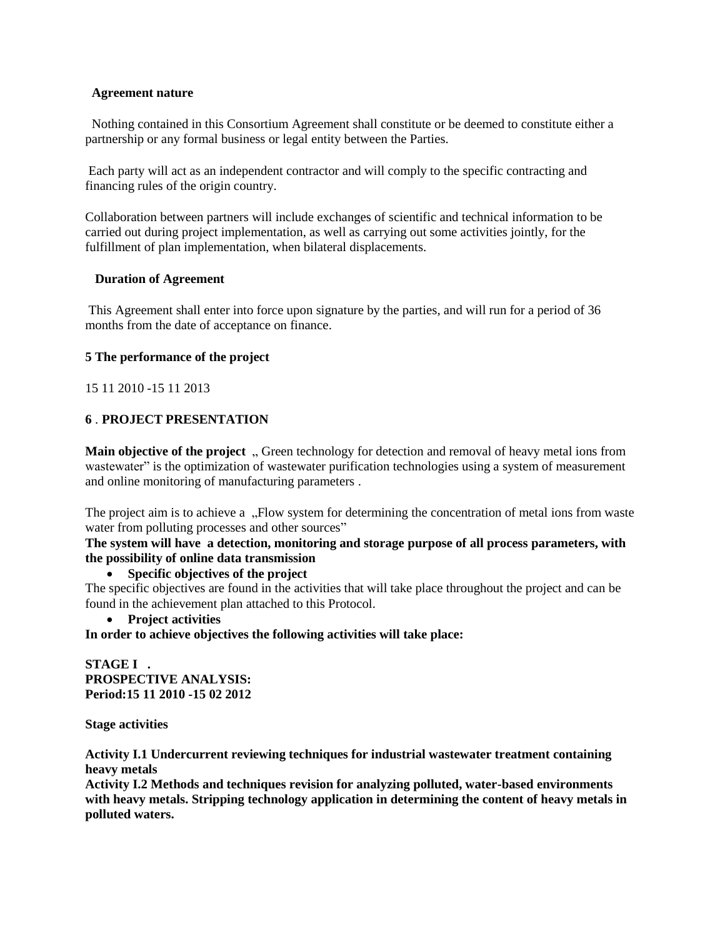#### **Agreement nature**

 Nothing contained in this Consortium Agreement shall constitute or be deemed to constitute either a partnership or any formal business or legal entity between the Parties.

Each party will act as an independent contractor and will comply to the specific contracting and financing rules of the origin country.

Collaboration between partners will include exchanges of scientific and technical information to be carried out during project implementation, as well as carrying out some activities jointly, for the fulfillment of plan implementation, when bilateral displacements.

#### **Duration of Agreement**

This Agreement shall enter into force upon signature by the parties, and will run for a period of 36 months from the date of acceptance on finance.

#### **5 The performance of the project**

15 11 2010 -15 11 2013

#### **6** . **PROJECT PRESENTATION**

**Main objective of the project**, Green technology for detection and removal of heavy metal ions from wastewater" is the optimization of wastewater purification technologies using a system of measurement and online monitoring of manufacturing parameters .

The project aim is to achieve a "Flow system for determining the concentration of metal ions from waste water from polluting processes and other sources"

**The system will have a detection, monitoring and storage purpose of all process parameters, with the possibility of online data transmission**

**Specific objectives of the project**

The specific objectives are found in the activities that will take place throughout the project and can be found in the achievement plan attached to this Protocol.

**Project activities**

**In order to achieve objectives the following activities will take place:**

**STAGE I . PROSPECTIVE ANALYSIS: Period:15 11 2010 -15 02 2012**

**Stage activities**

**Activity I.1 Undercurrent reviewing techniques for industrial wastewater treatment containing heavy metals**

**Activity I.2 Methods and techniques revision for analyzing polluted, water-based environments with heavy metals. Stripping technology application in determining the content of heavy metals in polluted waters.**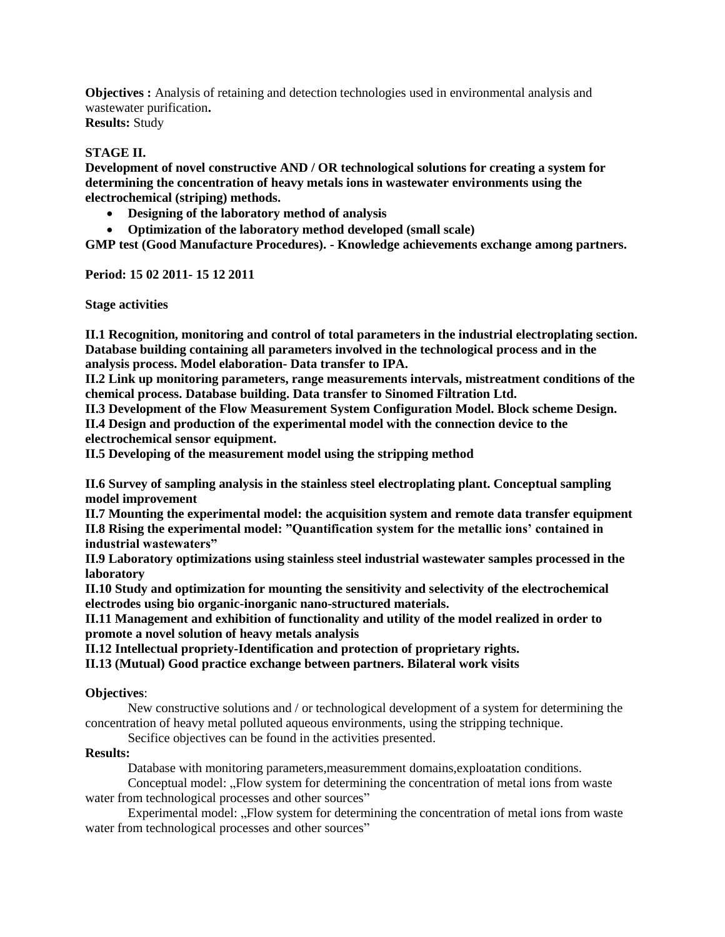**Objectives :** Analysis of retaining and detection technologies used in environmental analysis and wastewater purification**.**

**Results:** Study

### **STAGE II.**

**Development of novel constructive AND / OR technological solutions for creating a system for determining the concentration of heavy metals ions in wastewater environments using the electrochemical (striping) methods.**

- **Designing of the laboratory method of analysis**
- **Optimization of the laboratory method developed (small scale)**

**GMP test (Good Manufacture Procedures). - Knowledge achievements exchange among partners.**

**Period: 15 02 2011- 15 12 2011**

**Stage activities**

**II.1 Recognition, monitoring and control of total parameters in the industrial electroplating section. Database building containing all parameters involved in the technological process and in the analysis process. Model elaboration- Data transfer to IPA.**

**II.2 Link up monitoring parameters, range measurements intervals, mistreatment conditions of the chemical process. Database building. Data transfer to Sinomed Filtration Ltd.**

**II.3 Development of the Flow Measurement System Configuration Model. Block scheme Design. II.4 Design and production of the experimental model with the connection device to the** 

**electrochemical sensor equipment.**

**II.5 Developing of the measurement model using the stripping method**

**II.6 Survey of sampling analysis in the stainless steel electroplating plant. Conceptual sampling model improvement**

**II.7 Mounting the experimental model: the acquisition system and remote data transfer equipment II.8 Rising the experimental model: "Quantification system for the metallic ions' contained in industrial wastewaters"**

**II.9 Laboratory optimizations using stainless steel industrial wastewater samples processed in the laboratory**

**II.10 Study and optimization for mounting the sensitivity and selectivity of the electrochemical electrodes using bio organic-inorganic nano-structured materials.**

**II.11 Management and exhibition of functionality and utility of the model realized in order to promote a novel solution of heavy metals analysis**

**II.12 Intellectual propriety-Identification and protection of proprietary rights.**

**II.13 (Mutual) Good practice exchange between partners. Bilateral work visits**

#### **Objectives**:

New constructive solutions and / or technological development of a system for determining the concentration of heavy metal polluted aqueous environments, using the stripping technique.

Secifice objectives can be found in the activities presented.

#### **Results:**

Database with monitoring parameters,measuremment domains,exploatation conditions.

Conceptual model: ...Flow system for determining the concentration of metal ions from waste water from technological processes and other sources"

Experimental model: "Flow system for determining the concentration of metal ions from waste water from technological processes and other sources"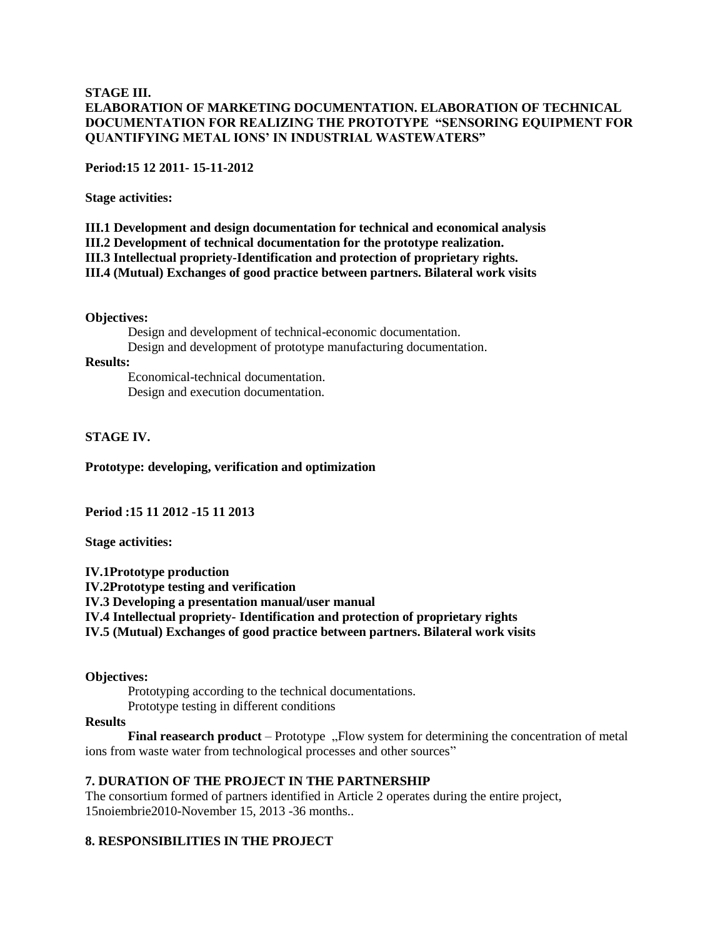#### **STAGE III. ELABORATION OF MARKETING DOCUMENTATION. ELABORATION OF TECHNICAL DOCUMENTATION FOR REALIZING THE PROTOTYPE "SENSORING EQUIPMENT FOR QUANTIFYING METAL IONS' IN INDUSTRIAL WASTEWATERS"**

**Period:15 12 2011- 15-11-2012**

**Stage activities:**

**III.1 Development and design documentation for technical and economical analysis III.2 Development of technical documentation for the prototype realization. III.3 Intellectual propriety-Identification and protection of proprietary rights. III.4 (Mutual) Exchanges of good practice between partners. Bilateral work visits**

#### **Objectives:**

Design and development of technical-economic documentation. Design and development of prototype manufacturing documentation.

#### **Results:**

Economical-technical documentation. Design and execution documentation.

#### **STAGE IV.**

**Prototype: developing, verification and optimization**

**Period :15 11 2012 -15 11 2013**

**Stage activities:**

**IV.1Prototype production IV.2Prototype testing and verification IV.3 Developing a presentation manual/user manual IV.4 Intellectual propriety- Identification and protection of proprietary rights IV.5 (Mutual) Exchanges of good practice between partners. Bilateral work visits**

#### **Objectives:**

Prototyping according to the technical documentations. Prototype testing in different conditions

#### **Results**

**Final reasearch product** – Prototype "Flow system for determining the concentration of metal ions from waste water from technological processes and other sources"

#### **7. DURATION OF THE PROJECT IN THE PARTNERSHIP**

The consortium formed of partners identified in Article 2 operates during the entire project, 15noiembrie2010-November 15, 2013 -36 months..

#### **8. RESPONSIBILITIES IN THE PROJECT**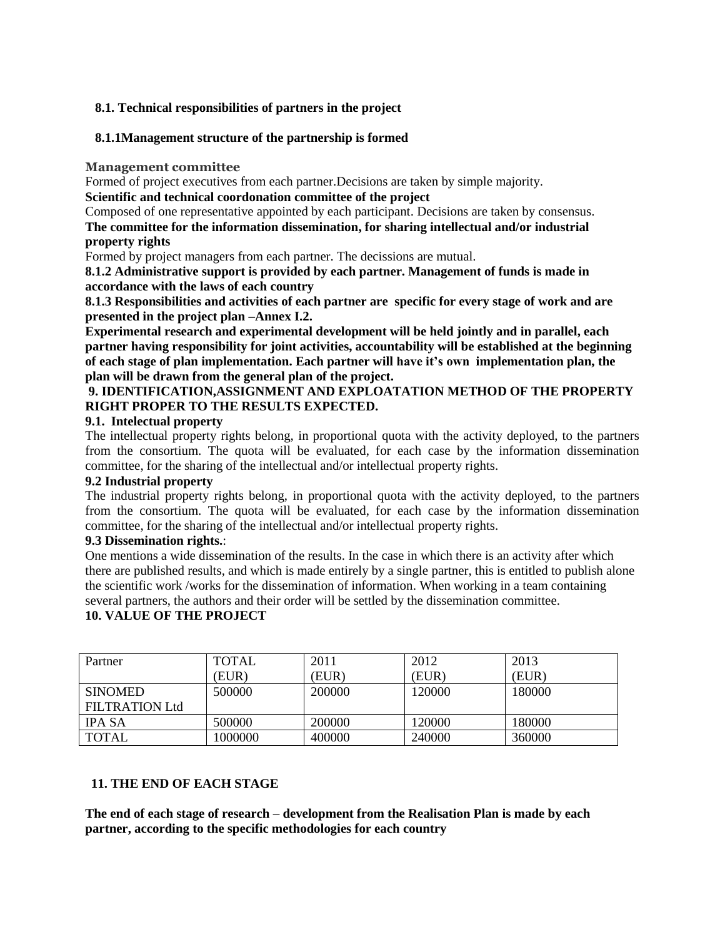### **8.1. Technical responsibilities of partners in the project**

### **8.1.1Management structure of the partnership is formed**

**Management committee**

Formed of project executives from each partner.Decisions are taken by simple majority.

**Scientific and technical coordonation committee of the project**

Composed of one representative appointed by each participant. Decisions are taken by consensus.

**The committee for the information dissemination, for sharing intellectual and/or industrial property rights**

Formed by project managers from each partner. The decissions are mutual.

**8.1.2 Administrative support is provided by each partner. Management of funds is made in accordance with the laws of each country**

**8.1.3 Responsibilities and activities of each partner are specific for every stage of work and are presented in the project plan –Annex I.2.**

**Experimental research and experimental development will be held jointly and in parallel, each partner having responsibility for joint activities, accountability will be established at the beginning of each stage of plan implementation. Each partner will have it's own implementation plan, the plan will be drawn from the general plan of the project.**

# **9. IDENTIFICATION,ASSIGNMENT AND EXPLOATATION METHOD OF THE PROPERTY RIGHT PROPER TO THE RESULTS EXPECTED.**

### **9.1. Intelectual property**

The intellectual property rights belong, in proportional quota with the activity deployed, to the partners from the consortium. The quota will be evaluated, for each case by the information dissemination committee, for the sharing of the intellectual and/or intellectual property rights.

### **9.2 Industrial property**

The industrial property rights belong, in proportional quota with the activity deployed, to the partners from the consortium. The quota will be evaluated, for each case by the information dissemination committee, for the sharing of the intellectual and/or intellectual property rights.

### **9.3 Dissemination rights.**:

One mentions a wide dissemination of the results. In the case in which there is an activity after which there are published results, and which is made entirely by a single partner, this is entitled to publish alone the scientific work /works for the dissemination of information. When working in a team containing several partners, the authors and their order will be settled by the dissemination committee.

## **10. VALUE OF THE PROJECT**

| Partner               | <b>TOTAL</b> | 2011   | 2012   | 2013   |
|-----------------------|--------------|--------|--------|--------|
|                       | (EUR)        | (EUR)  | (EUR)  | (EUR)  |
| <b>SINOMED</b>        | 500000       | 200000 | 120000 | 180000 |
| <b>FILTRATION Ltd</b> |              |        |        |        |
| <b>IPA SA</b>         | 500000       | 200000 | 120000 | 180000 |
| <b>TOTAL</b>          | 1000000      | 400000 | 240000 | 360000 |

# **11. THE END OF EACH STAGE**

**The end of each stage of research – development from the Realisation Plan is made by each partner, according to the specific methodologies for each country**